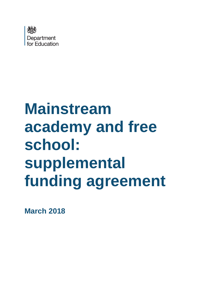

# **Mainstream academy and free school: supplemental funding agreement**

**March 2018**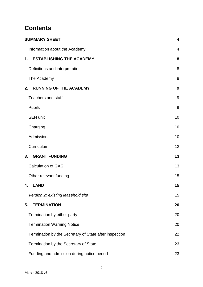# **Contents**

| <b>SUMMARY SHEET</b>                                   | $\overline{\mathbf{4}}$ |
|--------------------------------------------------------|-------------------------|
| Information about the Academy:                         | 4                       |
| <b>ESTABLISHING THE ACADEMY</b><br>1.                  | 8                       |
| Definitions and interpretation                         | 8                       |
| The Academy                                            | 8                       |
| <b>RUNNING OF THE ACADEMY</b><br>2.                    | 9                       |
| <b>Teachers and staff</b>                              | 9                       |
| <b>Pupils</b>                                          | 9                       |
| <b>SEN unit</b>                                        | 10                      |
| Charging                                               | 10                      |
| Admissions                                             | 10                      |
| Curriculum                                             | 12                      |
| <b>GRANT FUNDING</b><br>3.                             | 13                      |
| <b>Calculation of GAG</b>                              | 13                      |
| Other relevant funding                                 | 15                      |
| <b>LAND</b><br>4.                                      | 15                      |
| Version 2: existing leasehold site                     | 15                      |
| <b>TERMINATION</b><br>5.                               | 20                      |
| Termination by either party                            | 20                      |
| <b>Termination Warning Notice</b>                      | 20                      |
| Termination by the Secretary of State after inspection | 22                      |
| Termination by the Secretary of State                  | 23                      |
| Funding and admission during notice period             | 23                      |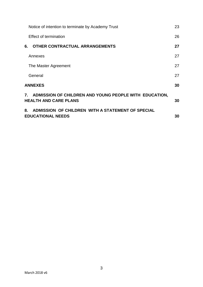| Notice of intention to terminate by Academy Trust                                         | 23 |
|-------------------------------------------------------------------------------------------|----|
| Effect of termination                                                                     | 26 |
| OTHER CONTRACTUAL ARRANGEMENTS<br>6.                                                      | 27 |
| Annexes                                                                                   | 27 |
| The Master Agreement                                                                      | 27 |
| General                                                                                   | 27 |
| <b>ANNEXES</b>                                                                            | 30 |
| 7. ADMISSION OF CHILDREN AND YOUNG PEOPLE WITH EDUCATION,<br><b>HEALTH AND CARE PLANS</b> | 30 |
| ADMISSION OF CHILDREN WITH A STATEMENT OF SPECIAL<br>8.<br><b>EDUCATIONAL NEEDS</b>       | 30 |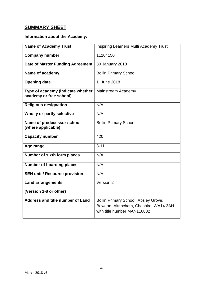# <span id="page-3-0"></span>**SUMMARY SHEET**

# <span id="page-3-1"></span>**Information about the Academy:**

| <b>Name of Academy Trust</b>                                 | <b>Inspiring Learners Multi Academy Trust</b>                                                                 |
|--------------------------------------------------------------|---------------------------------------------------------------------------------------------------------------|
| <b>Company number</b>                                        | 11104150                                                                                                      |
| <b>Date of Master Funding Agreement</b>                      | 30 January 2018                                                                                               |
| Name of academy                                              | <b>Bollin Primary School</b>                                                                                  |
| <b>Opening date</b>                                          | 1 June 2018                                                                                                   |
| Type of academy (indicate whether<br>academy or free school) | Mainstream Academy                                                                                            |
| <b>Religious designation</b>                                 | N/A                                                                                                           |
| Wholly or partly selective                                   | N/A                                                                                                           |
| Name of predecessor school<br>(where applicable)             | <b>Bollin Primary School</b>                                                                                  |
| <b>Capacity number</b>                                       | 420                                                                                                           |
| Age range                                                    | $3 - 11$                                                                                                      |
| Number of sixth form places                                  | N/A                                                                                                           |
| <b>Number of boarding places</b>                             | N/A                                                                                                           |
| <b>SEN unit / Resource provision</b>                         | N/A                                                                                                           |
| <b>Land arrangements</b>                                     | Version 2                                                                                                     |
| (Version 1-8 or other)                                       |                                                                                                               |
| <b>Address and title number of Land</b>                      | Bollin Primary School, Apsley Grove,<br>Bowdon, Altrincham, Cheshire, WA14 3AH<br>with title number MAN116882 |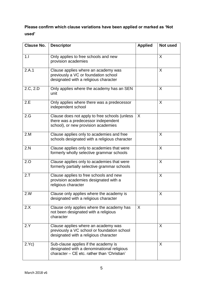# **Please confirm which clause variations have been applied or marked as "Not used"**

| <b>Clause No.</b> | <b>Descriptor</b>                                                                                                                 | <b>Applied</b> | Not used |
|-------------------|-----------------------------------------------------------------------------------------------------------------------------------|----------------|----------|
| 1.1               | Only applies to free schools and new<br>provision academies                                                                       |                | X        |
| 2.A.1             | Clause applies where an academy was<br>previously a VC or foundation school<br>designated with a religious character              |                | X        |
| 2.C, 2.D          | Only applies where the academy has an SEN<br>unit                                                                                 |                | X        |
| 2.E               | Only applies where there was a predecessor<br>independent school                                                                  |                | X        |
| 2.G               | Clause does not apply to free schools (unless<br>there was a predecessor independent<br>school), or new provision academies       | $\sf X$        |          |
| 2.M               | Clause applies only to academies and free<br>schools designated with a religious character                                        |                | X        |
| 2.N               | Clause applies only to academies that were<br>formerly wholly selective grammar schools                                           |                | X        |
| 2.0               | Clause applies only to academies that were<br>formerly partially selective grammar schools                                        |                | X        |
| 2.7               | Clause applies to free schools and new<br>provision academies designated with a<br>religious character                            |                | X        |
| 2.W               | Clause only applies where the academy is<br>designated with a religious character                                                 |                | X        |
| 2.X               | Clause only applies where the academy has<br>not been designated with a religious<br>character                                    | $\sf X$        |          |
| 2.Y               | Clause applies where an academy was<br>previously a VC school or foundation school<br>designated with a religious character       |                | X        |
| 2.Yc)             | Sub-clause applies if the academy is<br>designated with a denominational religious<br>character - CE etc. rather than 'Christian' |                | X        |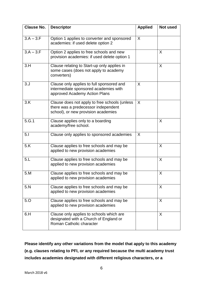| <b>Clause No.</b> | <b>Descriptor</b>                                                                                                           | Applied | Not used |
|-------------------|-----------------------------------------------------------------------------------------------------------------------------|---------|----------|
| $3.A - 3.F$       | Option 1 applies to converter and sponsored<br>academies: if used delete option 2                                           | X       |          |
| $3.A - 3.F$       | Option 2 applies to free schools and new<br>provision academies: if used delete option 1                                    |         | X        |
| 3.H               | Clause relating to Start-up only applies in<br>some cases (does not apply to academy<br>converters)                         |         | X        |
| 3. J              | Clause only applies to full sponsored and<br>intermediate sponsored academies with<br>approved Academy Action Plans         | X       |          |
| 3.K               | Clause does not apply to free schools (unless<br>there was a predecessor independent<br>school), or new provision academies | X       |          |
| 5.G.1             | Clause applies only to a boarding<br>academy/free school.                                                                   |         | X        |
| 5.1               | Clause only applies to sponsored academies                                                                                  | X       |          |
| 5.K               | Clause applies to free schools and may be<br>applied to new provision academies                                             |         | X        |
| 5.L               | Clause applies to free schools and may be<br>applied to new provision academies                                             |         | X        |
| 5.M               | Clause applies to free schools and may be<br>applied to new provision academies                                             |         | X        |
| 5.N               | Clause applies to free schools and may be<br>applied to new provision academies                                             |         | X        |
| 5.0               | Clause applies to free schools and may be<br>applied to new provision academies                                             |         | X        |
| 6.H               | Clause only applies to schools which are<br>designated with a Church of England or<br>Roman Catholic character              |         | X        |

**Please identify any other variations from the model that apply to this academy (e.g. clauses relating to PFI, or any required because the multi academy trust includes academies designated with different religious characters, or a**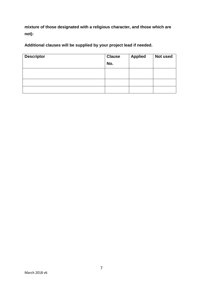**mixture of those designated with a religious character, and those which are not):**

**Additional clauses will be supplied by your project lead if needed.**

| <b>Descriptor</b> | <b>Clause</b><br>No. | <b>Applied</b> | Not used |
|-------------------|----------------------|----------------|----------|
|                   |                      |                |          |
|                   |                      |                |          |
|                   |                      |                |          |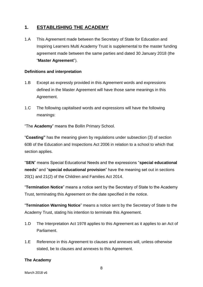# <span id="page-7-0"></span>**1. ESTABLISHING THE ACADEMY**

1.A This Agreement made between the Secretary of State for Education and Inspiring Learners Multi Academy Trust is supplemental to the master funding agreement made between the same parties and dated 30 January 2018 (the "**Master Agreement**").

#### <span id="page-7-1"></span>**Definitions and interpretation**

- 1.B Except as expressly provided in this Agreement words and expressions defined in the Master Agreement will have those same meanings in this Agreement.
- 1.C The following capitalised words and expressions will have the following meanings:

"The **Academy**" means the Bollin Primary School.

"**Coasting"** has the meaning given by regulations under subsection (3) of section 60B of the Education and Inspections Act 2006 in relation to a school to which that section applies.

"**SEN**" means Special Educational Needs and the expressions "**special educational needs**" and "**special educational provision**" have the meaning set out in sections 20(1) and 21(2) of the Children and Families Act 2014.

"**Termination Notice**" means a notice sent by the Secretary of State to the Academy Trust, terminating this Agreement on the date specified in the notice.

"**Termination Warning Notice**" means a notice sent by the Secretary of State to the Academy Trust, stating his intention to terminate this Agreement.

- 1.D The Interpretation Act 1978 applies to this Agreement as it applies to an Act of Parliament.
- 1.E Reference in this Agreement to clauses and annexes will, unless otherwise stated, be to clauses and annexes to this Agreement.

#### <span id="page-7-2"></span>**The Academy**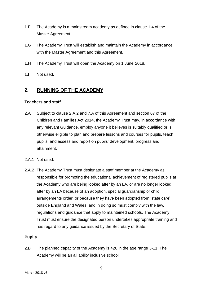- 1.F The Academy is a mainstream academy as defined in clause 1.4 of the Master Agreement.
- 1.G The Academy Trust will establish and maintain the Academy in accordance with the Master Agreement and this Agreement.
- 1.H The Academy Trust will open the Academy on 1 June 2018.
- 1.I Not used.

#### <span id="page-8-0"></span>**2. RUNNING OF THE ACADEMY**

#### <span id="page-8-1"></span>**Teachers and staff**

- 2.A Subject to clause 2.A.2 and 7.A of this Agreement and section 67 of the Children and Families Act 2014, the Academy Trust may, in accordance with any relevant Guidance, employ anyone it believes is suitably qualified or is otherwise eligible to plan and prepare lessons and courses for pupils, teach pupils, and assess and report on pupils" development, progress and attainment.
- 2.A.1 Not used.
- 2.A.2 The Academy Trust must designate a staff member at the Academy as responsible for promoting the educational achievement of registered pupils at the Academy who are being looked after by an LA, or are no longer looked after by an LA because of an adoption, special guardianship or child arrangements order, or because they have been adopted from "state care" outside England and Wales, and in doing so must comply with the law, regulations and guidance that apply to maintained schools. The Academy Trust must ensure the designated person undertakes appropriate training and has regard to any guidance issued by the Secretary of State.

#### <span id="page-8-2"></span>**Pupils**

2.B The planned capacity of the Academy is 420 in the age range 3-11. The Academy will be an all ability inclusive school.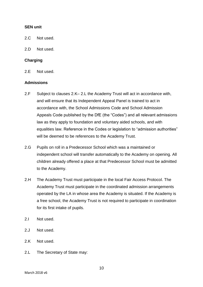#### <span id="page-9-0"></span>**SEN unit**

- 2.C Not used.
- 2.D Not used.

#### <span id="page-9-1"></span>**Charging**

2.E Not used.

#### <span id="page-9-2"></span>**Admissions**

- 2.F Subject to clauses 2.K– 2.L the Academy Trust will act in accordance with, and will ensure that its Independent Appeal Panel is trained to act in accordance with, the School Admissions Code and School Admission Appeals Code published by the DfE (the "Codes") and all relevant admissions law as they apply to foundation and voluntary aided schools, and with equalities law. Reference in the Codes or legislation to "admission authorities" will be deemed to be references to the Academy Trust.
- 2.G Pupils on roll in a Predecessor School which was a maintained or independent school will transfer automatically to the Academy on opening. All children already offered a place at that Predecessor School must be admitted to the Academy.
- 2.H The Academy Trust must participate in the local Fair Access Protocol. The Academy Trust must participate in the coordinated admission arrangements operated by the LA in whose area the Academy is situated. If the Academy is a free school, the Academy Trust is not required to participate in coordination for its first intake of pupils.
- 2.I Not used.
- 2.J Not used.
- 2.K Not used.
- 2.L The Secretary of State may: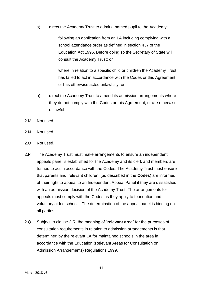- a) direct the Academy Trust to admit a named pupil to the Academy:
	- i. following an application from an LA including complying with a school attendance order as defined in section 437 of the Education Act 1996. Before doing so the Secretary of State will consult the Academy Trust; or
	- ii. where in relation to a specific child or children the Academy Trust has failed to act in accordance with the Codes or this Agreement or has otherwise acted unlawfully; or
- b) direct the Academy Trust to amend its admission arrangements where they do not comply with the Codes or this Agreement, or are otherwise unlawful.
- 2.M Not used.
- 2.N Not used.
- 2.O Not used.
- 2.P The Academy Trust must make arrangements to ensure an independent appeals panel is established for the Academy and its clerk and members are trained to act in accordance with the Codes. The Academy Trust must ensure that parents and "relevant children" (as described in the **Codes**) are informed of their right to appeal to an Independent Appeal Panel if they are dissatisfied with an admission decision of the Academy Trust. The arrangements for appeals must comply with the Codes as they apply to foundation and voluntary aided schools. The determination of the appeal panel is binding on all parties.
- 2.Q Subject to clause 2.R, the meaning of "**relevant area**" for the purposes of consultation requirements in relation to admission arrangements is that determined by the relevant LA for maintained schools in the area in accordance with the Education (Relevant Areas for Consultation on Admission Arrangements) Regulations 1999.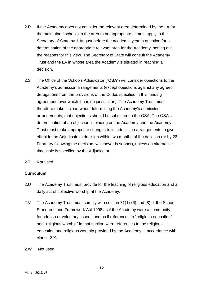- 2.R If the Academy does not consider the relevant area determined by the LA for the maintained schools in the area to be appropriate, it must apply to the Secretary of State by 1 August before the academic year in question for a determination of the appropriate relevant area for the Academy, setting out the reasons for this view. The Secretary of State will consult the Academy Trust and the LA in whose area the Academy is situated in reaching a decision.
- 2.S The Office of the Schools Adjudicator ("**OSA**") will consider objections to the Academy"s admission arrangements (except objections against any agreed derogations from the provisions of the Codes specified in this funding agreement, over which it has no jurisdiction). The Academy Trust must therefore make it clear, when determining the Academy"s admission arrangements, that objections should be submitted to the OSA. The OSA"s determination of an objection is binding on the Academy and the Academy Trust must make appropriate changes to its admission arrangements to give effect to the Adjudicator"s decision within two months of the decision (or by 28 February following the decision, whichever is sooner), unless an alternative timescale is specified by the Adjudicator.
- 2.T Not used.

#### <span id="page-11-0"></span>**Curriculum**

- 2.U The Academy Trust must provide for the teaching of religious education and a daily act of collective worship at the Academy.
- 2.V The Academy Trust must comply with section 71(1)-(6) and (8) of the School Standards and Framework Act 1998 as if the Academy were a community, foundation or voluntary school, and as if references to "religious education" and "religious worship" in that section were references to the religious education and religious worship provided by the Academy in accordance with clause 2.X*.*
- 2.W Not used.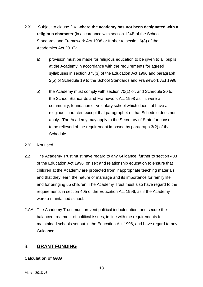- 2.X Subject to clause 2.V, **where the academy has not been designated with a religious character** (in accordance with section 124B of the School Standards and Framework Act 1998 or further to section 6(8) of the Academies Act 2010):
	- a) provision must be made for religious education to be given to all pupils at the Academy in accordance with the requirements for agreed syllabuses in section 375(3) of the Education Act 1996 and paragraph 2(5) of Schedule 19 to the School Standards and Framework Act 1998;
	- b) the Academy must comply with section 70(1) of, and Schedule 20 to, the School Standards and Framework Act 1998 as if it were a community, foundation or voluntary school which does not have a religious character, except that paragraph 4 of that Schedule does not apply. The Academy may apply to the Secretary of State for consent to be relieved of the requirement imposed by paragraph 3(2) of that Schedule.
- 2.Y Not used.
- 2.Z The Academy Trust must have regard to any Guidance, further to section 403 of the Education Act 1996, on sex and relationship education to ensure that children at the Academy are protected from inappropriate teaching materials and that they learn the nature of marriage and its importance for family life and for bringing up children. The Academy Trust must also have regard to the requirements in section 405 of the Education Act 1996, as if the Academy were a maintained school.
- 2.AA The Academy Trust must prevent political indoctrination, and secure the balanced treatment of political issues, in line with the requirements for maintained schools set out in the Education Act 1996, and have regard to any Guidance.

# <span id="page-12-0"></span>3. **GRANT FUNDING**

#### <span id="page-12-1"></span>**Calculation of GAG**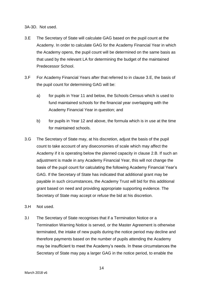3A-3D. Not used.

- 3.E The Secretary of State will calculate GAG based on the pupil count at the Academy. In order to calculate GAG for the Academy Financial Year in which the Academy opens, the pupil count will be determined on the same basis as that used by the relevant LA for determining the budget of the maintained Predecessor School.
- 3.F For Academy Financial Years after that referred to in clause 3.E, the basis of the pupil count for determining GAG will be:
	- a) for pupils in Year 11 and below, the Schools Census which is used to fund maintained schools for the financial year overlapping with the Academy Financial Year in question; and
	- b) for pupils in Year 12 and above, the formula which is in use at the time for maintained schools.
- 3.G The Secretary of State may, at his discretion, adjust the basis of the pupil count to take account of any diseconomies of scale which may affect the Academy if it is operating below the planned capacity in clause 2.B. If such an adjustment is made in any Academy Financial Year, this will not change the basis of the pupil count for calculating the following Academy Financial Year"s GAG. If the Secretary of State has indicated that additional grant may be payable in such circumstances, the Academy Trust will bid for this additional grant based on need and providing appropriate supporting evidence. The Secretary of State may accept or refuse the bid at his discretion.
- 3.H Not used.
- 3.I The Secretary of State recognises that if a Termination Notice or a Termination Warning Notice is served, or the Master Agreement is otherwise terminated, the intake of new pupils during the notice period may decline and therefore payments based on the number of pupils attending the Academy may be insufficient to meet the Academy"s needs. In these circumstances the Secretary of State may pay a larger GAG in the notice period, to enable the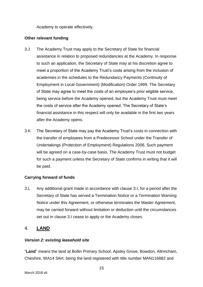Academy to operate effectively.

#### <span id="page-14-0"></span>**Other relevant funding**

- 3.J The Academy Trust may apply to the Secretary of State for financial assistance in relation to proposed redundancies at the Academy. In response to such an application, the Secretary of State may at his discretion agree to meet a proportion of the Academy Trust"s costs arising from the inclusion of academies in the schedules to the Redundancy Payments (Continuity of Employment in Local Government) (Modification) Order 1999. The Secretary of State may agree to meet the costs of an employee"s prior eligible service, being service before the Academy opened, but the Academy Trust must meet the costs of service after the Academy opened. The Secretary of State"s financial assistance in this respect will only be available in the first two years after the Academy opens.
- 3.K The Secretary of State may pay the Academy Trust"s costs in connection with the transfer of employees from a Predecessor School under the Transfer of Undertakings (Protection of Employment) Regulations 2006. Such payment will be agreed on a case-by-case basis. The Academy Trust must not budget for such a payment unless the Secretary of State confirms in writing that it will be paid.

#### **Carrying forward of funds**

3.L Any additional grant made in accordance with clause 3.I, for a period after the Secretary of State has served a Termination Notice or a Termination Warning Notice under this Agreement, or otherwise terminates the Master Agreement, may be carried forward without limitation or deduction until the circumstances set out in clause 3.I cease to apply or the Academy closes.

## <span id="page-14-1"></span>4. **LAND**

#### <span id="page-14-2"></span>*Version 2: existing leasehold site*

"**Land**" means the land at Bollin Primary School, Apsley Grove, Bowdon, Altrincham, Cheshire, WA14 3AH, being the land registered with title number MAN116882 and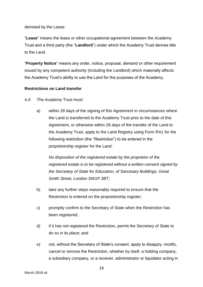demised by the Lease.

"**Lease**" means the lease or other occupational agreement between the Academy Trust and a third party (the "**Landlord**") under which the Academy Trust derives title to the Land.

"**Property Notice**" means any order, notice, proposal, demand or other requirement issued by any competent authority (including the Landlord) which materially affects the Academy Trust"s ability to use the Land for the purposes of the Academy.

#### **Restrictions on Land transfer**

- 4.A The Academy Trust must:
	- a) within 28 days of the signing of this Agreement in circumstances where the Land is transferred to the Academy Trust prior to the date of this Agreement, or otherwise within 28 days of the transfer of the Land to the Academy Trust, apply to the Land Registry using Form RX1 for the following restriction (the "Restriction") to be entered in the proprietorship register for the Land:

*No disposition of the registered estate by the proprietor of the registered estate is to be registered without a written consent signed by the Secretary of State for Education, of Sanctuary Buildings, Great Smith Street, London SW1P 3BT;*

- b) take any further steps reasonably required to ensure that the Restriction is entered on the proprietorship register;
- c) promptly confirm to the Secretary of State when the Restriction has been registered;
- d) if it has not registered the Restriction, permit the Secretary of State to do so in its place; and
- e) not, without the Secretary of State"s consent, apply to disapply, modify, cancel or remove the Restriction, whether by itself, a holding company, a subsidiary company, or a receiver, administrator or liquidator acting in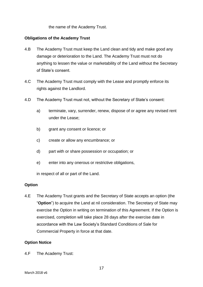the name of the Academy Trust.

#### **Obligations of the Academy Trust**

- 4.B The Academy Trust must keep the Land clean and tidy and make good any damage or deterioration to the Land. The Academy Trust must not do anything to lessen the value or marketability of the Land without the Secretary of State"s consent.
- 4.C The Academy Trust must comply with the Lease and promptly enforce its rights against the Landlord.
- 4.D The Academy Trust must not, without the Secretary of State's consent:
	- a) terminate, vary, surrender, renew, dispose of or agree any revised rent under the Lease;
	- b) grant any consent or licence; or
	- c) create or allow any encumbrance; or
	- d) part with or share possession or occupation; or
	- e) enter into any onerous or restrictive obligations,

in respect of all or part of the Land.

#### **Option**

4.E The Academy Trust grants and the Secretary of State accepts an option (the "**Option**") to acquire the Land at nil consideration. The Secretary of State may exercise the Option in writing on termination of this Agreement. If the Option is exercised, completion will take place 28 days after the exercise date in accordance with the Law Society"s Standard Conditions of Sale for Commercial Property in force at that date.

#### **Option Notice**

4.F The Academy Trust: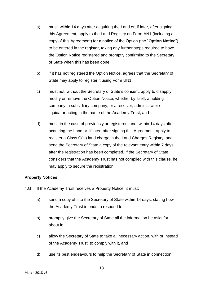- a) must, within 14 days after acquiring the Land or, if later, after signing this Agreement, apply to the Land Registry on Form AN1 (including a copy of this Agreement) for a notice of the Option (the "**Option Notice**") to be entered in the register, taking any further steps required to have the Option Notice registered and promptly confirming to the Secretary of State when this has been done;
- b) if it has not registered the Option Notice, agrees that the Secretary of State may apply to register it using Form UN1;
- c) must not, without the Secretary of State"s consent, apply to disapply, modify or remove the Option Notice, whether by itself, a holding company, a subsidiary company, or a receiver, administrator or liquidator acting in the name of the Academy Trust, and
- d) must, in the case of previously unregistered land, within 14 days after acquiring the Land or, if later, after signing this Agreement, apply to register a Class C(iv) land charge in the Land Charges Registry, and send the Secretary of State a copy of the relevant entry within 7 days after the registration has been completed. If the Secretary of State considers that the Academy Trust has not complied with this clause, he may apply to secure the registration.

#### **Property Notices**

- 4.G If the Academy Trust receives a Property Notice, it must:
	- a) send a copy of it to the Secretary of State within 14 days, stating how the Academy Trust intends to respond to it;
	- b) promptly give the Secretary of State all the information he asks for about it;
	- c) allow the Secretary of State to take all necessary action, with or instead of the Academy Trust, to comply with it, and
	- d) use its best endeavours to help the Secretary of State in connection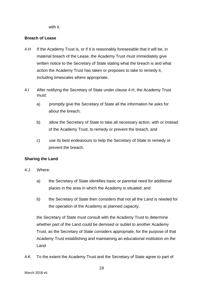with it.

#### **Breach of Lease**

- 4.H If the Academy Trust is, or if it is reasonably foreseeable that it will be, in material breach of the Lease, the Academy Trust must immediately give written notice to the Secretary of State stating what the breach is and what action the Academy Trust has taken or proposes to take to remedy it, including timescales where appropriate.
- 4.I After notifying the Secretary of State under clause 4.H, the Academy Trust must:
	- a) promptly give the Secretary of State all the information he asks for about the breach;
	- b) allow the Secretary of State to take all necessary action, with or instead of the Academy Trust, to remedy or prevent the breach, and
	- c) use its best endeavours to help the Secretary of State to remedy or prevent the breach.

#### **Sharing the Land**

- 4.J Where:
	- a) the Secretary of State identifies basic or parental need for additional places in the area in which the Academy is situated; and
	- b) the Secretary of State then considers that not all the Land is needed for the operation of the Academy at planned capacity,

the Secretary of State must consult with the Academy Trust to determine whether part of the Land could be demised or sublet to another Academy Trust, as the Secretary of State considers appropriate, for the purpose of that Academy Trust establishing and maintaining an educational institution on the Land.

4.K To the extent the Academy Trust and the Secretary of State agree to part of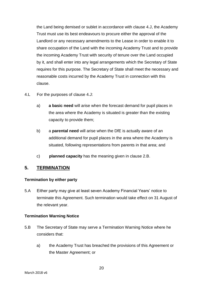the Land being demised or sublet in accordance with clause 4.J, the Academy Trust must use its best endeavours to procure either the approval of the Landlord or any necessary amendments to the Lease in order to enable it to share occupation of the Land with the incoming Academy Trust and to provide the incoming Academy Trust with security of tenure over the Land occupied by it, and shall enter into any legal arrangements which the Secretary of State requires for this purpose. The Secretary of State shall meet the necessary and reasonable costs incurred by the Academy Trust in connection with this clause.

- 4.L For the purposes of clause 4.J:
	- a) **a basic need** will arise when the forecast demand for pupil places in the area where the Academy is situated is greater than the existing capacity to provide them;
	- b) a **parental need** will arise when the DfE is actually aware of an additional demand for pupil places in the area where the Academy is situated, following representations from parents in that area; and
	- c) **planned capacity** has the meaning given in clause 2.B.

#### <span id="page-19-0"></span>**5. TERMINATION**

#### <span id="page-19-1"></span>**Termination by either party**

5.A Either party may give at least seven Academy Financial Years' notice to terminate this Agreement. Such termination would take effect on 31 August of the relevant year.

#### <span id="page-19-2"></span>**Termination Warning Notice**

- 5.B The Secretary of State may serve a Termination Warning Notice where he considers that:
	- a) the Academy Trust has breached the provisions of this Agreement or the Master Agreement; or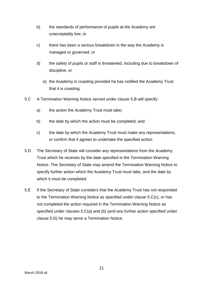- b) the standards of performance of pupils at the Academy are unacceptably low; or
- c) there has been a serious breakdown in the way the Academy is managed or governed; or
- d) the safety of pupils or staff is threatened, including due to breakdown of discipline; or
	- e) the Academy is coasting provided he has notified the Academy Trust that it is coasting.
- 5.C A Termination Warning Notice served under clause 5.B will specify:
	- a) the action the Academy Trust must take;
	- b) the date by which the action must be completed; and
	- c) the date by which the Academy Trust must make any representations, or confirm that it agrees to undertake the specified action.
- 5.D The Secretary of State will consider any representations from the Academy Trust which he receives by the date specified in the Termination Warning Notice. The Secretary of State may amend the Termination Warning Notice to specify further action which the Academy Trust must take, and the date by which it must be completed.
- 5.E If the Secretary of State considers that the Academy Trust has not responded to the Termination Warning Notice as specified under clause 5.C(c), or has not completed the action required in the Termination Warning Notice as specified under clauses 5.C(a) and (b) (and any further action specified under clause 5.D) he may serve a Termination Notice.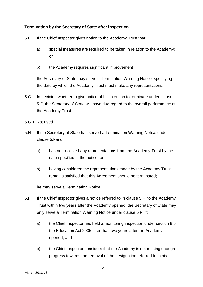#### <span id="page-21-0"></span>**Termination by the Secretary of State after inspection**

- 5.F If the Chief Inspector gives notice to the Academy Trust that:
	- a) special measures are required to be taken in relation to the Academy; or
	- b) the Academy requires significant improvement

the Secretary of State may serve a Termination Warning Notice, specifying the date by which the Academy Trust must make any representations.

- 5.G In deciding whether to give notice of his intention to terminate under clause 5.F, the Secretary of State will have due regard to the overall performance of the Academy Trust.
- 5.G.1 Not used.
- 5.H If the Secretary of State has served a Termination Warning Notice under clause 5.Fand:
	- a) has not received any representations from the Academy Trust by the date specified in the notice; or
	- b) having considered the representations made by the Academy Trust remains satisfied that this Agreement should be terminated;

he may serve a Termination Notice.

- 5.I If the Chief Inspector gives a notice referred to in clause 5.F to the Academy Trust within two years after the Academy opened, the Secretary of State may only serve a Termination Warning Notice under clause 5.F if:
	- a) the Chief Inspector has held a monitoring inspection under section 8 of the Education Act 2005 later than two years after the Academy opened; and
	- b) the Chief Inspector considers that the Academy is not making enough progress towards the removal of the designation referred to in his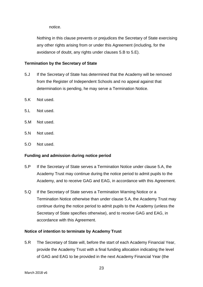notice.

Nothing in this clause prevents or prejudices the Secretary of State exercising any other rights arising from or under this Agreement (including, for the avoidance of doubt, any rights under clauses 5.B to 5.E).

#### <span id="page-22-0"></span>**Termination by the Secretary of State**

- 5.J If the Secretary of State has determined that the Academy will be removed from the Register of Independent Schools and no appeal against that determination is pending, he may serve a Termination Notice.
- 5.K Not used.
- 5.L Not used.
- 5.M Not used.
- 5.N Not used.
- 5.O Not used.

#### <span id="page-22-1"></span>**Funding and admission during notice period**

- 5.P If the Secretary of State serves a Termination Notice under clause 5.A, the Academy Trust may continue during the notice period to admit pupils to the Academy, and to receive GAG and EAG, in accordance with this Agreement.
- 5.Q If the Secretary of State serves a Termination Warning Notice or a Termination Notice otherwise than under clause 5.A, the Academy Trust may continue during the notice period to admit pupils to the Academy (unless the Secretary of State specifies otherwise), and to receive GAG and EAG, in accordance with this Agreement.

#### <span id="page-22-2"></span>**Notice of intention to terminate by Academy Trust**

5.R The Secretary of State will, before the start of each Academy Financial Year, provide the Academy Trust with a final funding allocation indicating the level of GAG and EAG to be provided in the next Academy Financial Year (the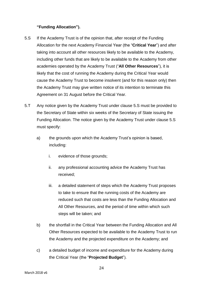#### **"Funding Allocation").**

- 5.S If the Academy Trust is of the opinion that, after receipt of the Funding Allocation for the next Academy Financial Year (the "**Critical Year**") and after taking into account all other resources likely to be available to the Academy, including other funds that are likely to be available to the Academy from other academies operated by the Academy Trust ("**All Other Resources**"), it is likely that the cost of running the Academy during the Critical Year would cause the Academy Trust to become insolvent (and for this reason only) then the Academy Trust may give written notice of its intention to terminate this Agreement on 31 August before the Critical Year.
- 5.T Any notice given by the Academy Trust under clause 5.S must be provided to the Secretary of State within six weeks of the Secretary of State issuing the Funding Allocation. The notice given by the Academy Trust under clause 5.S must specify:
	- a) the grounds upon which the Academy Trust"s opinion is based, including:
		- i. evidence of those grounds;
		- ii. any professional accounting advice the Academy Trust has received;
		- iii. a detailed statement of steps which the Academy Trust proposes to take to ensure that the running costs of the Academy are reduced such that costs are less than the Funding Allocation and All Other Resources, and the period of time within which such steps will be taken; and
	- b) the shortfall in the Critical Year between the Funding Allocation and All Other Resources expected to be available to the Academy Trust to run the Academy and the projected expenditure on the Academy; and
	- c) a detailed budget of income and expenditure for the Academy during the Critical Year (the "**Projected Budget**").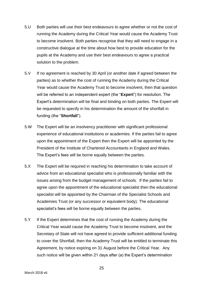- 5.U Both parties will use their best endeavours to agree whether or not the cost of running the Academy during the Critical Year would cause the Academy Trust to become insolvent. Both parties recognise that they will need to engage in a constructive dialogue at the time about how best to provide education for the pupils at the Academy and use their best endeavours to agree a practical solution to the problem.
- 5.V If no agreement is reached by 30 April (or another date if agreed between the parties) as to whether the cost of running the Academy during the Critical Year would cause the Academy Trust to become insolvent, then that question will be referred to an independent expert (the "**Expert**") for resolution. The Expert's determination will be final and binding on both parties. The Expert will be requested to specify in his determination the amount of the shortfall in funding (the "**Shortfall**").
- 5.W The Expert will be an insolvency practitioner with significant professional experience of educational institutions or academies. If the parties fail to agree upon the appointment of the Expert then the Expert will be appointed by the President of the Institute of Chartered Accountants in England and Wales. The Expert's fees will be borne equally between the parties.
- 5.X The Expert will be required in reaching his determination to take account of advice from an educational specialist who is professionally familiar with the issues arising from the budget management of schools. If the parties fail to agree upon the appointment of the educational specialist then the educational specialist will be appointed by the Chairman of the Specialist Schools and Academies Trust (or any successor or equivalent body). The educational specialist"s fees will be borne equally between the parties.
- 5.Y If the Expert determines that the cost of running the Academy during the Critical Year would cause the Academy Trust to become insolvent, and the Secretary of State will not have agreed to provide sufficient additional funding to cover the Shortfall, then the Academy Trust will be entitled to terminate this Agreement, by notice expiring on 31 August before the Critical Year. Any such notice will be given within 21 days after (a) the Expert's determination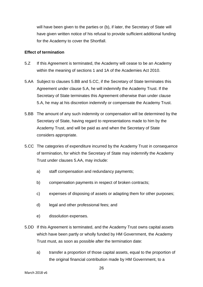will have been given to the parties or (b), if later, the Secretary of State will have given written notice of his refusal to provide sufficient additional funding for the Academy to cover the Shortfall.

#### <span id="page-25-0"></span>**Effect of termination**

- 5.Z If this Agreement is terminated, the Academy will cease to be an Academy within the meaning of sections 1 and 1A of the Academies Act 2010.
- 5.AA Subject to clauses 5.BB and 5.CC, if the Secretary of State terminates this Agreement under clause 5.A, he will indemnify the Academy Trust. If the Secretary of State terminates this Agreement otherwise than under clause 5.A, he may at his discretion indemnify or compensate the Academy Trust.
- 5.BB The amount of any such indemnity or compensation will be determined by the Secretary of State, having regard to representations made to him by the Academy Trust, and will be paid as and when the Secretary of State considers appropriate.
- 5.CC The categories of expenditure incurred by the Academy Trust in consequence of termination, for which the Secretary of State may indemnify the Academy Trust under clauses 5.AA, may include:
	- a) staff compensation and redundancy payments;
	- b) compensation payments in respect of broken contracts;
	- c) expenses of disposing of assets or adapting them for other purposes;
	- d) legal and other professional fees; and
	- e) dissolution expenses.
- 5.DD If this Agreement is terminated, and the Academy Trust owns capital assets which have been partly or wholly funded by HM Government, the Academy Trust must, as soon as possible after the termination date:
	- a) transfer a proportion of those capital assets, equal to the proportion of the original financial contribution made by HM Government, to a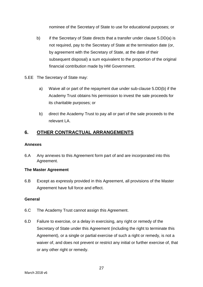nominee of the Secretary of State to use for educational purposes; or

- b) if the Secretary of State directs that a transfer under clause 5.DD(a) is not required, pay to the Secretary of State at the termination date (or, by agreement with the Secretary of State, at the date of their subsequent disposal) a sum equivalent to the proportion of the original financial contribution made by HM Government.
- 5.EE The Secretary of State may:
	- a) Waive all or part of the repayment due under sub-clause 5.DD(b) if the Academy Trust obtains his permission to invest the sale proceeds for its charitable purposes; or
	- b) direct the Academy Trust to pay all or part of the sale proceeds to the relevant LA.

## <span id="page-26-0"></span>**6. OTHER CONTRACTUAL ARRANGEMENTS**

#### <span id="page-26-1"></span>**Annexes**

6.A Any annexes to this Agreement form part of and are incorporated into this Agreement.

#### <span id="page-26-2"></span>**The Master Agreement**

6.B Except as expressly provided in this Agreement, all provisions of the Master Agreement have full force and effect.

#### <span id="page-26-3"></span>**General**

- 6.C The Academy Trust cannot assign this Agreement.
- 6.D Failure to exercise, or a delay in exercising, any right or remedy of the Secretary of State under this Agreement (including the right to terminate this Agreement), or a single or partial exercise of such a right or remedy, is not a waiver of, and does not prevent or restrict any initial or further exercise of, that or any other right or remedy.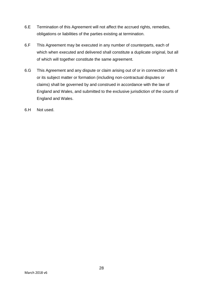- 6.E Termination of this Agreement will not affect the accrued rights, remedies, obligations or liabilities of the parties existing at termination.
- 6.F This Agreement may be executed in any number of counterparts, each of which when executed and delivered shall constitute a duplicate original, but all of which will together constitute the same agreement.
- 6.G This Agreement and any dispute or claim arising out of or in connection with it or its subject matter or formation (including non-contractual disputes or claims) shall be governed by and construed in accordance with the law of England and Wales, and submitted to the exclusive jurisdiction of the courts of England and Wales.
- 6.H Not used.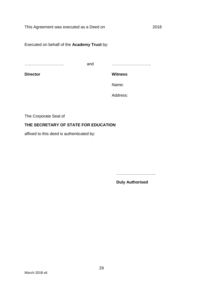Executed on behalf of the **Academy Trust** by:

……………………………………

and ………………………..

**Director**

**Witness**

Name:

Address:

The Corporate Seal of

#### **THE SECRETARY OF STATE FOR EDUCATION**

affixed to this deed is authenticated by:

………………………..

**Duly Authorised**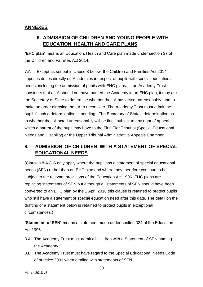# <span id="page-29-1"></span><span id="page-29-0"></span>**ANNEXES**

# **6. ADMISSION OF CHILDREN AND YOUNG PEOPLE WITH EDUCATION, HEALTH AND CARE PLANS**

"**EHC plan**" means an Education, Health and Care plan made under section 37 of the Children and Families Act 2014.

<span id="page-29-2"></span>7.A Except as set out in clause 8 below, the Children and Families Act 2014 imposes duties directly on Academies in respect of pupils with special educational needs, including the admission of pupils with EHC plans. If an Academy Trust considers that a LA should not have named the Academy in an EHC plan, it may ask the Secretary of State to determine whether the LA has acted unreasonably, and to make an order directing the LA to reconsider. The Academy Trust must admit the pupil if such a determination is pending. The Secretary of State"s determination as to whether the LA acted unreasonably will be final, subject to any right of appeal which a parent of the pupil may have to the First Tier Tribunal (Special Educational Needs and Disability) or the Upper Tribunal Administrative Appeals Chamber.

# **8. ADMISSION OF CHILDREN WITH A STATEMENT OF SPECIAL EDUCATIONAL NEEDS**

(Clauses 8.A-8.G only apply where the pupil has a statement of special educational needs (SEN) rather than an EHC plan and where they therefore continue to be subject to the relevant provisions of the Education Act 1996. EHC plans are replacing statements of SEN but although all statements of SEN should have been converted to an EHC plan by the 1 April 2018 this clause is retained to protect pupils who still have a statement of special education need after this date. The detail on the drafting of a statement below is retained to protect pupils in exceptional circumstances.)

"**Statement of SEN**" means a statement made under section 324 of the Education Act 1996.

- 8.A The Academy Trust must admit all children with a Statement of SEN naming the Academy.
- 8.B The Academy Trust must have regard to the Special Educational Needs Code of practice 2001 when dealing with statements of SEN.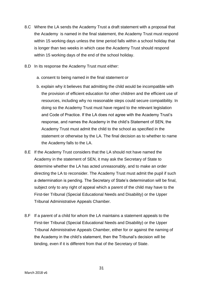- 8.C Where the LA sends the Academy Trust a draft statement with a proposal that the Academy is named in the final statement, the Academy Trust must respond within 15 working days unless the time period falls within a school holiday that is longer than two weeks in which case the Academy Trust should respond within 15 working days of the end of the school holiday.
- 8.D In its response the Academy Trust must either:
	- a. consent to being named in the final statement or
	- b. explain why it believes that admitting the child would be incompatible with the provision of efficient education for other children and the efficient use of resources, including why no reasonable steps could secure compatibility. In doing so the Academy Trust must have regard to the relevant legislation and Code of Practice. If the LA does not agree with the Academy Trust"s response, and names the Academy in the child"s Statement of SEN, the Academy Trust must admit the child to the school as specified in the statement or otherwise by the LA. The final decision as to whether to name the Academy falls to the LA.
- 8.E If the Academy Trust considers that the LA should not have named the Academy in the statement of SEN, it may ask the Secretary of State to determine whether the LA has acted unreasonably, and to make an order directing the LA to reconsider. The Academy Trust must admit the pupil if such a determination is pending. The Secretary of State"s determination will be final, subject only to any right of appeal which a parent of the child may have to the First-tier Tribunal (Special Educational Needs and Disability) or the Upper Tribunal Administrative Appeals Chamber.
- 8.F If a parent of a child for whom the LA maintains a statement appeals to the First-tier Tribunal (Special Educational Needs and Disability) or the Upper Tribunal Administrative Appeals Chamber, either for or against the naming of the Academy in the child"s statement, then the Tribunal"s decision will be binding, even if it is different from that of the Secretary of State.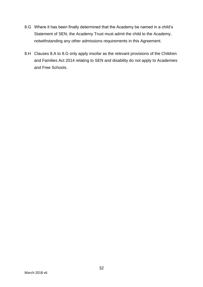- 8.G Where it has been finally determined that the Academy be named in a child"s Statement of SEN, the Academy Trust must admit the child to the Academy, notwithstanding any other admissions requirements in this Agreement.
- 8.H Clauses 8.A to 8.G only apply insofar as the relevant provisions of the Children and Families Act 2014 relating to SEN and disability do not apply to Academies and Free Schools.